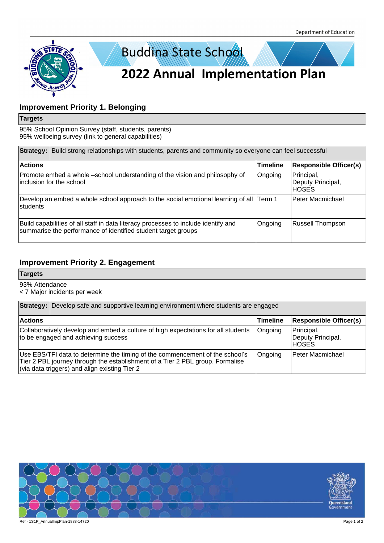

## **Improvement Priority 1. Belonging**

#### **Targets**

95% School Opinion Survey (staff, students, parents) 95% wellbeing survey (link to general capabilities)

|                                                                                                             | <b>Strategy:</b> Build strong relationships with students, parents and community so everyone can feel successful                                    |                 |                                           |  |  |
|-------------------------------------------------------------------------------------------------------------|-----------------------------------------------------------------------------------------------------------------------------------------------------|-----------------|-------------------------------------------|--|--|
| <b>Actions</b>                                                                                              |                                                                                                                                                     | <b>Timeline</b> | <b>Responsible Officer(s)</b>             |  |  |
| Promote embed a whole –school understanding of the vision and philosophy of<br>inclusion for the school     |                                                                                                                                                     | Ongoing         | Principal,<br>Deputy Principal,<br>IHOSES |  |  |
| Develop an embed a whole school approach to the social emotional learning of all $\vert$<br><b>students</b> |                                                                                                                                                     | Term 1          | lPeter Macmichael                         |  |  |
|                                                                                                             | Build capabilities of all staff in data literacy processes to include identify and<br>summarise the performance of identified student target groups | Ongoing         | Russell Thompson                          |  |  |

## **Improvement Priority 2. Engagement**

### **Targets**

93% Attendance

< 7 Major incidents per week

|                                                                                                                                                                                                                | <b>Strategy:</b> Develop safe and supportive learning environment where students are engaged |                                                  |  |  |  |
|----------------------------------------------------------------------------------------------------------------------------------------------------------------------------------------------------------------|----------------------------------------------------------------------------------------------|--------------------------------------------------|--|--|--|
| <b>Actions</b>                                                                                                                                                                                                 | <b>Timeline</b>                                                                              | <b>Responsible Officer(s)</b>                    |  |  |  |
| Collaboratively develop and embed a culture of high expectations for all students<br>to be engaged and achieving success                                                                                       |                                                                                              | Principal,<br>Deputy Principal,<br><b>IHOSES</b> |  |  |  |
| Use EBS/TFI data to determine the timing of the commencement of the school's<br>Tier 2 PBL journey through the establishment of a Tier 2 PBL group. Formalise<br>(via data triggers) and align existing Tier 2 | Ongoing                                                                                      | <b>Peter Macmichael</b>                          |  |  |  |